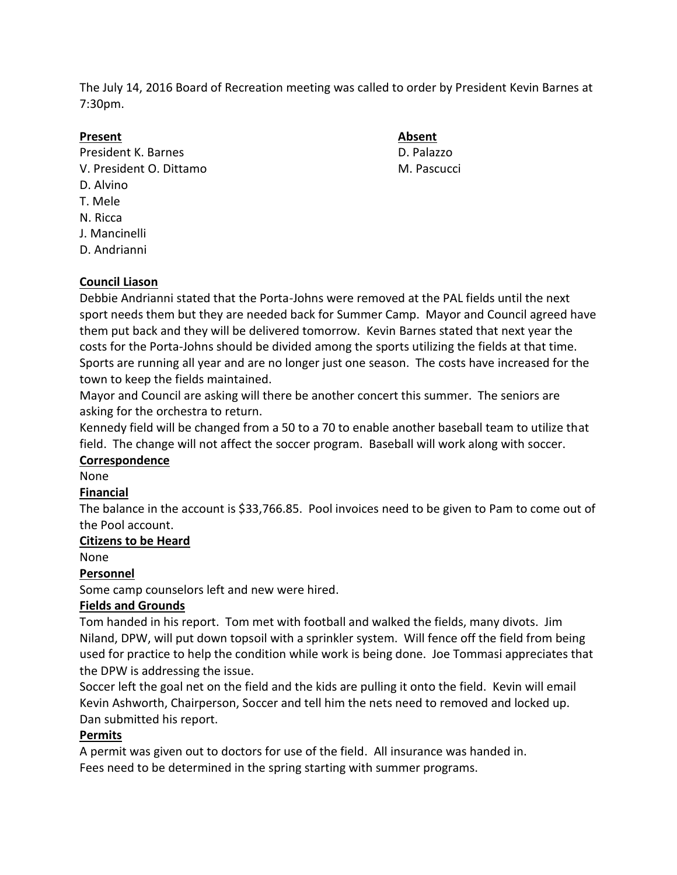The July 14, 2016 Board of Recreation meeting was called to order by President Kevin Barnes at 7:30pm.

## **Present Absent**

President K. Barnes **D. Palazzo** V. President O. Dittamo M. Pascucci D. Alvino T. Mele N. Ricca J. Mancinelli D. Andrianni

# **Council Liason**

Debbie Andrianni stated that the Porta-Johns were removed at the PAL fields until the next sport needs them but they are needed back for Summer Camp. Mayor and Council agreed have them put back and they will be delivered tomorrow. Kevin Barnes stated that next year the costs for the Porta-Johns should be divided among the sports utilizing the fields at that time. Sports are running all year and are no longer just one season. The costs have increased for the town to keep the fields maintained.

Mayor and Council are asking will there be another concert this summer. The seniors are asking for the orchestra to return.

Kennedy field will be changed from a 50 to a 70 to enable another baseball team to utilize that field. The change will not affect the soccer program. Baseball will work along with soccer.

### **Correspondence**

None

### **Financial**

The balance in the account is \$33,766.85. Pool invoices need to be given to Pam to come out of the Pool account.

# **Citizens to be Heard**

None

# **Personnel**

Some camp counselors left and new were hired.

# **Fields and Grounds**

Tom handed in his report. Tom met with football and walked the fields, many divots. Jim Niland, DPW, will put down topsoil with a sprinkler system. Will fence off the field from being used for practice to help the condition while work is being done. Joe Tommasi appreciates that the DPW is addressing the issue.

Soccer left the goal net on the field and the kids are pulling it onto the field. Kevin will email Kevin Ashworth, Chairperson, Soccer and tell him the nets need to removed and locked up. Dan submitted his report.

### **Permits**

A permit was given out to doctors for use of the field. All insurance was handed in. Fees need to be determined in the spring starting with summer programs.